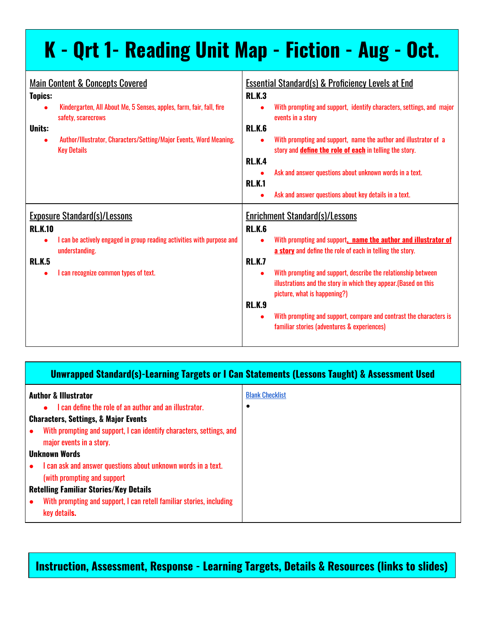| K - Qrt 1- Reading Unit Map - Fiction - Aug - Oct.                                                                                                                                                                                                                                   |                                                                                                                                                                                                                                                                                                                                                                                                                                                                                                                  |
|--------------------------------------------------------------------------------------------------------------------------------------------------------------------------------------------------------------------------------------------------------------------------------------|------------------------------------------------------------------------------------------------------------------------------------------------------------------------------------------------------------------------------------------------------------------------------------------------------------------------------------------------------------------------------------------------------------------------------------------------------------------------------------------------------------------|
| <b>Main Content &amp; Concepts Covered</b><br><b>Topics:</b><br>Kindergarten, All About Me, 5 Senses, apples, farm, fair, fall, fire<br>safety, scarecrows<br><b>Units:</b><br>Author/Illustrator, Characters/Setting/Major Events, Word Meaning,<br>$\bullet$<br><b>Key Details</b> | <b>Essential Standard(s) &amp; Proficiency Levels at End</b><br><b>RLK.3</b><br>With prompting and support, identify characters, settings, and major<br>events in a story<br><b>RL.K.6</b><br>With prompting and support, name the author and illustrator of a<br>story and <b>define the role of each</b> in telling the story.<br><b>RLK.4</b><br>Ask and answer questions about unknown words in a text.<br><b>RL.K.1</b><br>Ask and answer questions about key details in a text.                            |
| <b>Exposure Standard(s)/Lessons</b><br><b>RL.K.10</b><br>I can be actively engaged in group reading activities with purpose and<br>understanding.<br><b>RLK.5</b><br>I can recognize common types of text.                                                                           | <b>Enrichment Standard(s)/Lessons</b><br><b>RL.K.6</b><br>With prompting and support, name the author and illustrator of<br>a story and define the role of each in telling the story.<br><b>RL.K.7</b><br>With prompting and support, describe the relationship between<br>illustrations and the story in which they appear.(Based on this<br>picture, what is happening?)<br><b>RL.K.9</b><br>With prompting and support, compare and contrast the characters is<br>familiar stories (adventures & experiences) |

#### **Unwrapped Standard(s)-Learning Targets or I Can Statements (Lessons Taught) & Assessment Used**

| <b>Author &amp; Illustrator</b>                                      | <b>Blank Checklist</b> |
|----------------------------------------------------------------------|------------------------|
| I can define the role of an author and an illustrator.<br>$\bullet$  |                        |
| <b>Characters, Settings, &amp; Major Events</b>                      |                        |
| With prompting and support, I can identify characters, settings, and |                        |
| major events in a story.                                             |                        |
| Unknown Words                                                        |                        |
| I can ask and answer questions about unknown words in a text.        |                        |
| (with prompting and support)                                         |                        |
| <b>Retelling Familiar Stories/Key Details</b>                        |                        |
| With prompting and support, I can retell familiar stories, including |                        |
| key details.                                                         |                        |

**Instruction, Assessment, Response - Learning Targets, Details & Resources (links to slides)**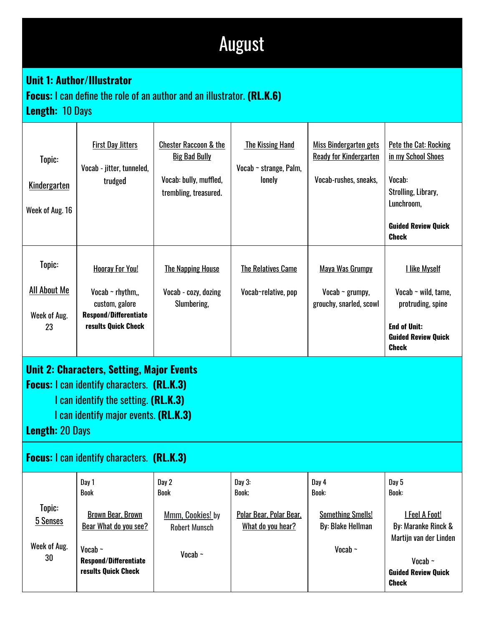# August

### **Unit 1: Author/Illustrator**

### **Focus:** I can define the role of an author and an illustrator. **(RL.K.6)**

**Length:** 10 Days

| Topic:<br><b>Kindergarten</b><br>Week of Aug. 16                                                                                                                                                                                                                      | <b>First Day Jitters</b><br>Vocab - jitter, tunneled,<br>trudged                                                                          | <b>Chester Raccoon &amp; the</b><br><b>Big Bad Bully</b><br>Vocab: bully, muffled,<br>trembling, treasured. | <b>The Kissing Hand</b><br>Vocab ~ strange, Palm,<br>lonely     | Miss Bindergarten gets<br><b>Ready for Kindergarten</b><br>Vocab-rushes, sneaks,       | Pete the Cat: Rocking<br>in my School Shoes<br>Vocab:<br>Strolling, Library,<br>Lunchroom,<br><b>Guided Review Quick</b><br><b>Check</b>               |
|-----------------------------------------------------------------------------------------------------------------------------------------------------------------------------------------------------------------------------------------------------------------------|-------------------------------------------------------------------------------------------------------------------------------------------|-------------------------------------------------------------------------------------------------------------|-----------------------------------------------------------------|----------------------------------------------------------------------------------------|--------------------------------------------------------------------------------------------------------------------------------------------------------|
| Topic:<br><b>All About Me</b><br>Week of Aug.<br>23                                                                                                                                                                                                                   | <b>Hooray For You!</b><br>Vocab $\sim$ rhythm,,<br>custom, galore<br><b>Respond/Differentiate</b><br>results Quick Check                  | <b>The Napping House</b><br>Vocab - cozy, dozing<br>Slumbering,                                             | <b>The Relatives Came</b><br>Vocab~relative, pop                | Maya Was Grumpy<br>Vocab $\sim$ grumpy,<br>grouchy, snarled, scowl                     | <b>I like Myself</b><br>Vocab $\sim$ wild, tame,<br>protruding, spine<br><b>End of Unit:</b><br><b>Guided Review Quick</b><br><b>Check</b>             |
| <b>Unit 2: Characters, Setting, Major Events</b><br><b>Focus:</b> I can identify characters. (RL.K.3)<br>I can identify the setting. (RL.K.3)<br>I can identify major events. (RL.K.3)<br><b>Length: 20 Days</b><br><b>Focus:</b> I can identify characters. (RL.K.3) |                                                                                                                                           |                                                                                                             |                                                                 |                                                                                        |                                                                                                                                                        |
| Topic:<br>5 Senses<br>Week of Aug.<br>30                                                                                                                                                                                                                              | Day 1<br>Book<br><b>Brown Bear, Brown</b><br>Bear What do you see?<br>Vocab $\sim$<br><b>Respond/Differentiate</b><br>results Quick Check | Day 2<br>Book<br>Mmm, Cookies! by<br><b>Robert Munsch</b><br>Vocab $\sim$                                   | Day 3:<br>Book;<br>Polar Bear, Polar Bear,<br>What do you hear? | Day 4<br>Book:<br><b>Something Smells!</b><br><b>By: Blake Hellman</b><br>Vocab $\sim$ | Day 5<br>Book:<br><b>I Feel A Foot!</b><br>By: Maranke Rinck &<br>Martijn van der Linden<br>Vocab $\sim$<br><b>Guided Review Quick</b><br><b>Check</b> |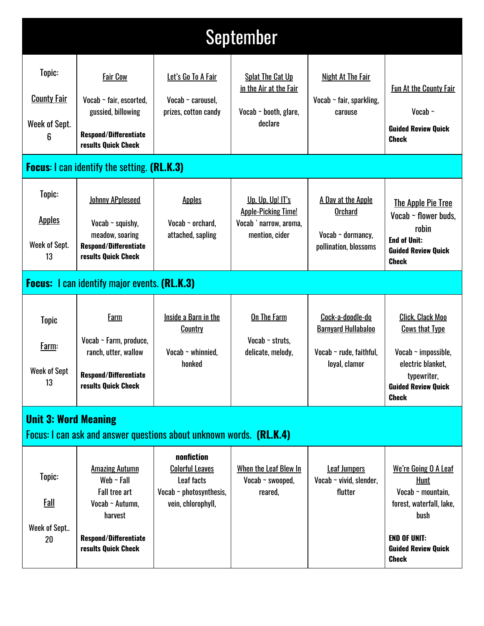| September                                                                                          |                                                                                                                                                       |                                                                                                          |                                                                                            |                                                                                            |                                                                                                                                                                 |
|----------------------------------------------------------------------------------------------------|-------------------------------------------------------------------------------------------------------------------------------------------------------|----------------------------------------------------------------------------------------------------------|--------------------------------------------------------------------------------------------|--------------------------------------------------------------------------------------------|-----------------------------------------------------------------------------------------------------------------------------------------------------------------|
| Topic:<br><b>County Fair</b><br>Week of Sept.<br>6                                                 | <b>Fair Cow</b><br>Vocab ~ fair, escorted,<br>gussied, billowing<br><b>Respond/Differentiate</b><br>results Quick Check                               | Let's Go To A Fair<br>Vocab $\sim$ carousel,<br>prizes, cotton candy                                     | Splat The Cat Up<br>in the Air at the Fair<br>Vocab $\sim$ booth, glare,<br>declare        | Night At The Fair<br>Vocab $\sim$ fair, sparkling,<br>carouse                              | <b>Fun At the County Fair</b><br>Vocab $\sim$<br><b>Guided Review Quick</b><br><b>Check</b>                                                                     |
|                                                                                                    | <b>Focus:</b> I can identify the setting. (RL.K.3)                                                                                                    |                                                                                                          |                                                                                            |                                                                                            |                                                                                                                                                                 |
| Topic:<br><b>Apples</b><br>Week of Sept.<br>13                                                     | <b>Johnny APpleseed</b><br>Vocab $\sim$ squishy,<br>meadow, soaring<br>Respond/Differentiate<br>results Quick Check                                   | <b>Apples</b><br>Vocab $\sim$ orchard,<br>attached, sapling                                              | Up, Up, Up! II's<br><b>Apple-Picking Time!</b><br>Vocab ` narrow, aroma,<br>mention, cider | A Day at the Apple<br><b>Orchard</b><br>Vocab $\sim$ dormancy,<br>pollination, blossoms    | <b>The Apple Pie Tree</b><br>Vocab ~ flower buds.<br>robin<br><b>End of Unit:</b><br><b>Guided Review Quick</b><br><b>Check</b>                                 |
|                                                                                                    | <b>Focus:</b> I can identify major events. (RL.K.3)                                                                                                   |                                                                                                          |                                                                                            |                                                                                            |                                                                                                                                                                 |
| <b>Topic</b><br>Farm:<br><b>Week of Sept</b><br>13                                                 | <b>Farm</b><br>Vocab ~ Farm, produce,<br>ranch, utter, wallow<br><b>Respond/Differentiate</b><br>results Quick Check                                  | Inside a Barn in the<br>Country<br>Vocab $\sim$ whinnied,<br>honked                                      | <b>On The Farm</b><br>Vocab $\sim$ struts,<br>delicate, melody,                            | Cock-a-doodle-do<br><b>Barnyard Hullabaloo</b><br>Vocab ~ rude, faithful,<br>loyal, clamor | <b>Click, Clack Moo</b><br><b>Cows that Type</b><br>Vocab $\sim$ impossible,<br>electric blanket,<br>typewriter,<br><b>Guided Review Quick</b><br><b>Check</b>  |
| <b>Unit 3: Word Meaning</b><br>Focus: I can ask and answer questions about unknown words. (RL.K.4) |                                                                                                                                                       |                                                                                                          |                                                                                            |                                                                                            |                                                                                                                                                                 |
| Topic:<br>Fall<br>Week of Sept<br>20                                                               | <b>Amazing Autumn</b><br>Web $\sim$ Fall<br><b>Fall tree art</b><br>Vocab ~ Autumn,<br>harvest<br><b>Respond/Differentiate</b><br>results Quick Check | nonfiction<br><b>Colorful Leaves</b><br>Leaf facts<br>Vocab $\sim$ photosynthesis,<br>vein, chlorophyll, | When the Leaf Blew In<br>Vocab $\sim$ swooped,<br>reared,                                  | <b>Leaf Jumpers</b><br>Vocab $\sim$ vivid, slender,<br>flutter                             | We're Going O A Leaf<br>Hunt<br>Vocab $\sim$ mountain,<br>forest, waterfall, lake,<br>bush<br><b>END OF UNIT:</b><br><b>Guided Review Quick</b><br><b>Check</b> |